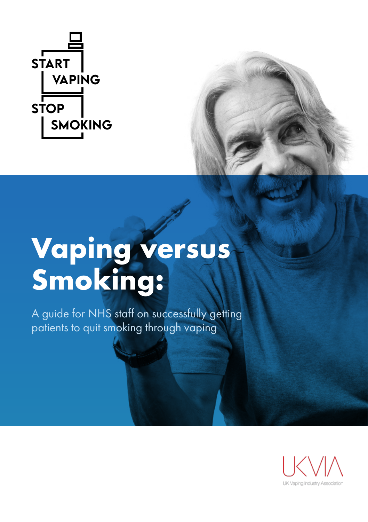

# **Vaping versus Smoking:**

A guide for NHS staff on successfully getting patients to quit smoking through vaping

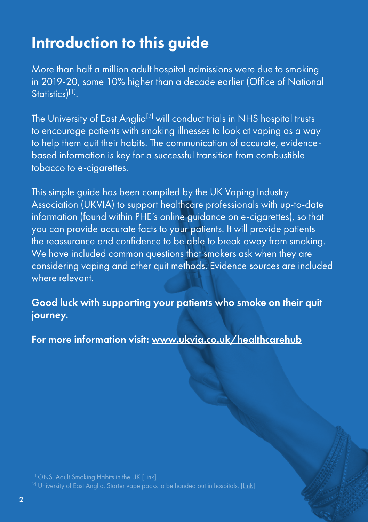## Introduction to this guide

More than half a million adult hospital admissions were due to smoking in 2019-20, some 10% higher than a decade earlier (Office of National Statistics<sup>[1]</sup>.

The University of East Anglia<sup>[2]</sup> will conduct trials in NHS hospital trusts to encourage patients with smoking illnesses to look at vaping as a way to help them quit their habits. The communication of accurate, evidencebased information is key for a successful transition from combustible tobacco to e-cigarettes.

This simple guide has been compiled by the UK Vaping Industry Association (UKVIA) to support healthcare professionals with up-to-date information (found within PHE's online guidance on e-cigarettes), so that you can provide accurate facts to your patients. It will provide patients the reassurance and confidence to be able to break away from smoking. We have included common questions that smokers ask when they are considering vaping and other quit methods. Evidence sources are included where relevant.

Good luck with supporting your patients who smoke on their quit journey.

For more information visit: [www.ukvia.co.uk/healthcarehub](http://www.ukvia.co.uk/healthcarehub)

 $^{[1]}$  ONS, Adult Smoking Habits in the UK <u>[\[Link](https://www.ons.gov.uk/peoplepopulationandcommunity/healthandsocialcare/healthandlifeexpectancies/bulletins/adultsmokinghabitsingreatbritain/2019)]</u><br> $^{[2]}$  University of East Anglia, Starter vape packs to be handed out in hospitals, [\[Link\]](https://www.uea.ac.uk/news/-/article/starter-vape-packs-to-be-handed-out-in-hospitals)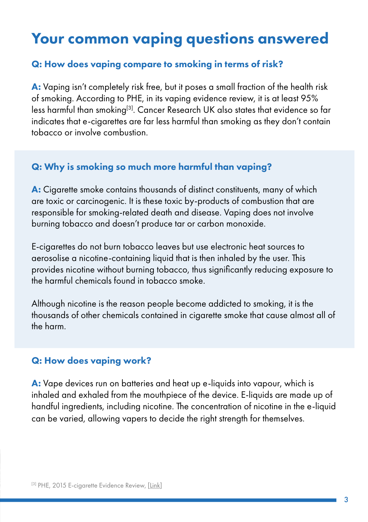### Your common vaping questions answered

#### Q: How does vaping compare to smoking in terms of risk?

A: Vaping isn't completely risk free, but it poses a small fraction of the health risk of smoking. According to PHE, in its vaping evidence review, it is at least 95% less harmful than smoking<sup>[3]</sup>. Cancer Research UK also states that evidence so far indicates that e-cigarettes are far less harmful than smoking as they don't contain tobacco or involve combustion.

#### Q: Why is smoking so much more harmful than vaping?

A: Cigarette smoke contains thousands of distinct constituents, many of which are toxic or carcinogenic. It is these toxic by-products of combustion that are responsible for smoking-related death and disease. Vaping does not involve burning tobacco and doesn't produce tar or carbon monoxide.

E-cigarettes do not burn tobacco leaves but use electronic heat sources to aerosolise a nicotine-containing liquid that is then inhaled by the user. This provides nicotine without burning tobacco, thus significantly reducing exposure to the harmful chemicals found in tobacco smoke.

Although nicotine is the reason people become addicted to smoking, it is the thousands of other chemicals contained in cigarette smoke that cause almost all of the harm.

#### Q: How does vaping work?

A: Vape devices run on batteries and heat up e-liquids into vapour, which is inhaled and exhaled from the mouthpiece of the device. E-liquids are made up of handful ingredients, including nicotine. The concentration of nicotine in the e-liquid can be varied, allowing vapers to decide the right strength for themselves.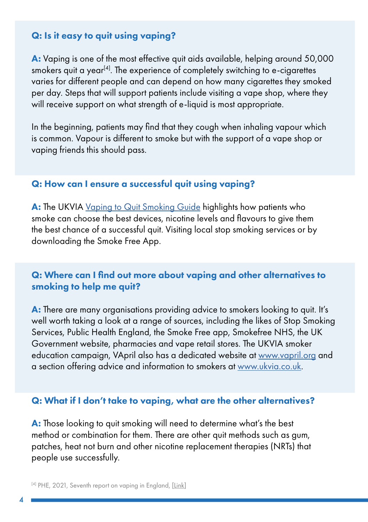#### Q: Is it easy to quit using vaping?

A: Vaping is one of the most effective quit aids available, helping around 50,000 smokers quit a year<sup>[4]</sup>. The experience of completely switching to e-cigarettes varies for different people and can depend on how many cigarettes they smoked per day. Steps that will support patients include visiting a vape shop, where they will receive support on what strength of e-liquid is most appropriate.

In the beginning, patients may find that they cough when inhaling vapour which is common. Vapour is different to smoke but with the support of a vape shop or vaping friends this should pass.

#### Q: How can I ensure a successful quit using vaping?

A: The UKVIA [Vaping to Quit Smoking Guide](https://www.ukvia.co.uk/wp-content/uploads/2021/10/Vaping-to-Quit-Smoking-Guide.pdf) highlights how patients who smoke can choose the best devices, nicotine levels and flavours to give them the best chance of a successful quit. Visiting local stop smoking services or by downloading the Smoke Free App.

#### Q: Where can I find out more about vaping and other alternatives to smoking to help me quit?

A: There are many organisations providing advice to smokers looking to quit. It's well worth taking a look at a range of sources, including the likes of Stop Smoking Services, Public Health England, the Smoke Free app, Smokefree NHS, the UK Government website, pharmacies and vape retail stores. The UKVIA smoker education campaign, VApril also has a dedicated website at [www.vapril.org](http://www.vapril.org) and a section offering advice and information to smokers at [www.ukvia.co.uk.](http://www.ukvia.co.uk)

#### Q: What if I don't take to vaping, what are the other alternatives?

A: Those looking to quit smoking will need to determine what's the best method or combination for them. There are other quit methods such as gum, patches, heat not burn and other nicotine replacement therapies (NRTs) that people use successfully.

[4] PHE, 2021, Seventh report on vaping in England, [[Link](https://www.gov.uk/government/news/vaping-better-than-nicotine-replacement-therapy-for-stopping-smoking-evidence-suggests)]